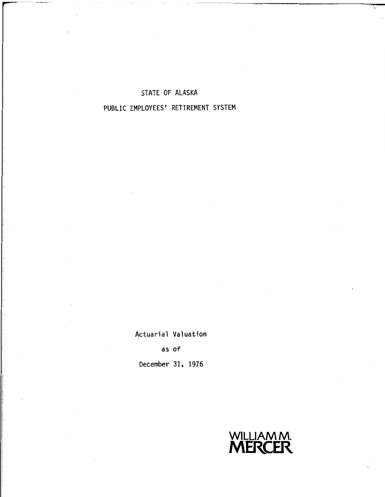### STATE OF ALASKA

# PUBLIC EMPLOYEES' RETIREMENT SYSTEM

Actuarial Valuation

as of

**December** 31, 1976

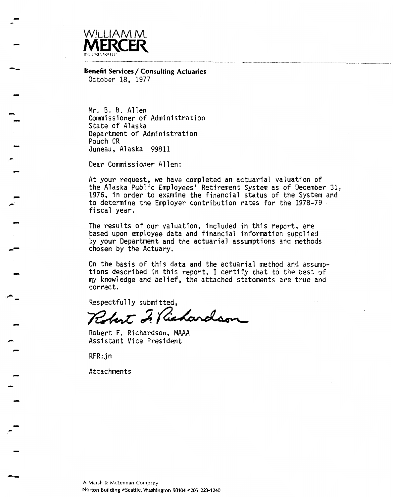

**Benefit Services/ Consulting Actuaries**  October 18, 1977

Mr. B. B. Allen Commissioner of Administration State of Alaska Department of Administration Pouch CR Juneau, Alaska 99811

Dear Commissioner Allen:

At your request, we have completed an actuarial valuation of the Alaska Public Employees' Retirement System as of December 31, 1976, in order to examine the financial status of the System and to determine the Employer contribution rates for the 1978-79 fiscal year.

The results of our valuation, included in this report, are based upon employee data and financial information supplied by your Department and the actuarial assumptions and methods chosen by the Actuary.

On the basis of this data and the actuarial method and assumptions described in this report, I certify that to the best of my knowledge and belief, the attached statements are true and correct.

Respectfully submitted,

Robert I Kichardson

Robert F. Richardson, **MAAA**  Assistant Vice President

RFR: jn

Attachments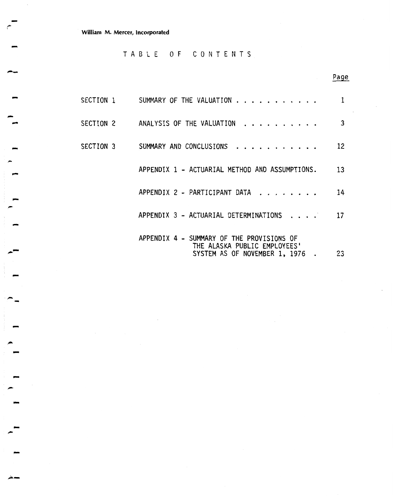**William M. Mercer, Incorporated** 

**TABLE OF CONTENTS** 

# **Page**

|           | SECTION 1       SUMMARY OF THE VALUATION                                                                    | 1  |
|-----------|-------------------------------------------------------------------------------------------------------------|----|
| SECTION 2 | ANALYSIS OF THE VALUATION                                                                                   | 3  |
| SECTION 3 | SUMMARY AND CONCLUSIONS                                                                                     | 12 |
|           | APPENDIX 1 - ACTUARIAL METHOD AND ASSUMPTIONS.                                                              | 13 |
|           | APPENDIX 2 - PARTICIPANT DATA                                                                               | 14 |
|           | APPENDIX 3 - ACTUARIAL DETERMINATIONS                                                                       | 17 |
|           | APPENDIX 4 - SUMMARY OF THE PROVISIONS OF<br>THE ALASKA PUBLIC EMPLOYEES'<br>SYSTEM AS OF NOVEMBER 1, 1976. | 23 |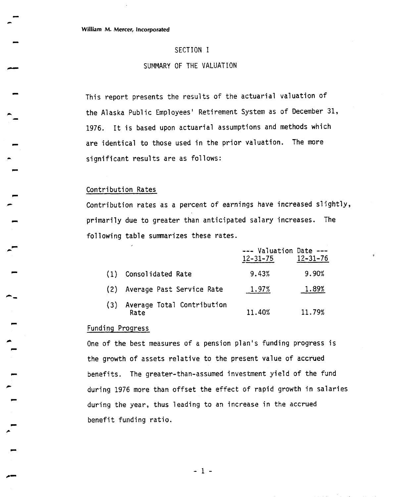### SECTION I

### SUMMARY OF THE VALUATION

This report presents the results of the actuarial valuation of the Alaska Public Employees' Retirement System as of December 31, 1976. It is based upon actuarial assumptions and methods which are identical to those used in the prior valuation. The more significant results are as follows:

#### Contribution Rates

Contribution rates as a percent of earnings have increased slightly, primarily due to greater than anticipated salary increases. The fol lowing table summarizes these rates.

|     |                                    | --- Valuation Date ---<br>$12 - 31 - 75$ | $12 - 31 - 76$ |
|-----|------------------------------------|------------------------------------------|----------------|
| (1) | Consolidated Rate                  | 9.43%                                    | 9.90%          |
|     | (2) Average Past Service Rate      | 1.97%                                    | 1.89%          |
| (3) | Average Total Contribution<br>Rate | 11.40%                                   | 11.79%         |

#### Funding Progress

One of the best measures of a pension plan's funding progress is the growth of assets relative to the present value of accrued benefits. The greater-than-assumed investment yield of the fund during 1976 more than offset the effect of rapid growth in salaries during the year, thus leading to an increase in the accrued benefit funding ratio.

 $-1 -$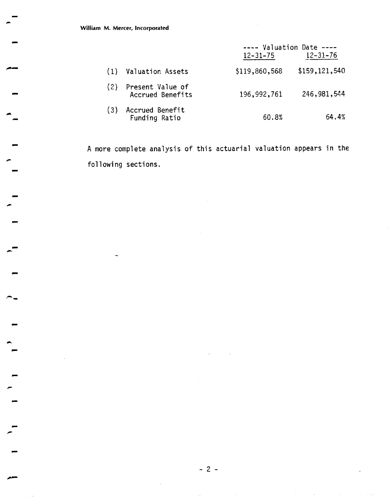**William M. Mercer, incorporated** 

|     |                                          | $---$ Valuation Date $---$<br>$12 - 31 - 75$ | $12 - 31 - 76$ |
|-----|------------------------------------------|----------------------------------------------|----------------|
| (1) | Valuation Assets                         | \$119,860,568                                | \$159,121,540  |
|     | (2) Present Value of<br>Accrued Benefits | 196,992,761                                  | 246,981,544    |
| (3) | Accrued Benefit<br>Funding Ratio         | 60.8%                                        | 64.4%          |

A more complete analysis of this actuarial valuation appears in the following sections.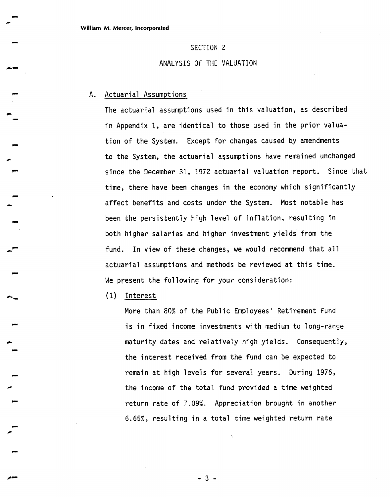#### SECTION 2

### ANALYSIS OF THE VALUATION

### A. Actuarial Assumptions

The actuarial assumptions used in this valuation, as described in Appendix 1, are identical to those used in the prior valuation of the System. Except for changes caused by amendments to the System, the actuarial assumptions have remained unchanged since the December 31, 1972 actuarial valuation report. Since that time, there have been changes in the economy which significantly affect benefits and costs under the System. Most notable has been the persistently high level of inflation, resulting in both higher salaries and higher investment yields from the fund. In view of these changes, we would recommend that all actuarial assumptions and methods be reviewed at this time. We present the following for your consideration:

(I) Interest

More than 80% of the Public Employees' Retirement Fund is in fixed income investments with medium to long-range maturity dates and relatively high yields. Consequently, the interest received from the fund can be expected to remain at high levels for several years. During 1976, the income of the total fund provided a time weighted return rate of 7.09%. Appreciation brought in another 6.65%, resulting in a total time weighted return rate

ï

 $-3-$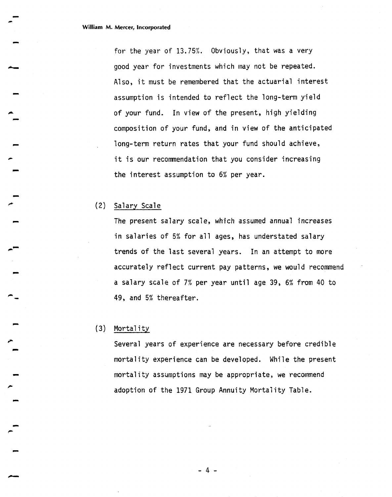for the year of 13.75%. Obviously, that was a very good year for investments which may not be repeated. Also, it must be remembered that the actuarial interest assumption is intended to reflect the long-term yield of your fund. In view of the present, high yielding composition of your fund, and in view of the anticipated long-term return rates that your fund should achieve, it is our recommendation that you consider increasing the interest assumption to 6% per year.

### **(2)** Salary Scale

The present salary scale, which assumed annual increases in salaries of 5% for all ages, has understated salary trends of the last several years. In an attempt to more accurately reflect current pay patterns, **we** would recommend a salary scale of 7% per year until age 39, 6% from 40 to 49, and 5% thereafter.

### **(3)** Mortal i ty

Several years of experience are necessary before credible mortality experience can be developed. While the present mortality assumptions may be appropriate, we recommend adoption of the 1971 Group Annuity Mortaiity Table.

 $-4 -$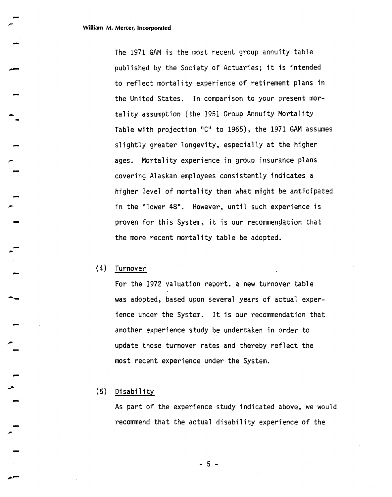The 1971 GAM is the mast recent group annuity table published by the Society of Actuaries; it is intended to reflect mortal ity experience of retirement plans in the United States. In comparison to your present mortality assumption (the 1951 Group Annuity Mortality Table with projection "C" to 1965), the 1971 GAM assumes slightly greater longevity, especially at the higher ages. Mortality experience in group insurance plans covering Alaskan employees consistently indicates a higher level of mortality than what might be anticipated in the "lower 48". However, until such experience **is**  proven for this System, it is our recommendation that the more recent mortality table be adopted.

### (4) Turnover

For the 1972 valuation report, a new turnover table was adopted, based upon several years of actual experience under the System. It is our recommendation that another experience study **be** undertaken in order to update those turnover rates and thereby reflect the most recent experience under the System.

### **(5)** Di sabi 1 i ty

As part of the experience study indicated above, **we** would recommend that the actual disability experience of the

- 5 -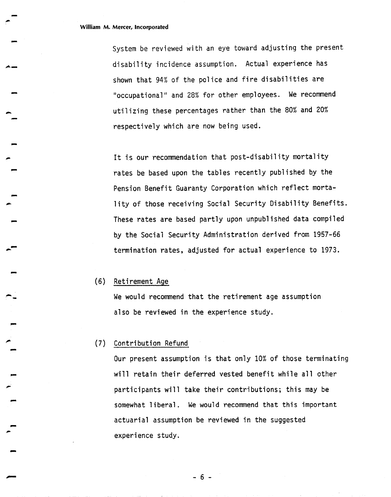$\frac{1}{1}$ 

System be reviewed with an eye toward adjusting the present disability incidence assumption. Actual experience has shown that 94% of the police and fire disabilities are "occupational" and 28% for other employees. We recommend utilizing these percentages rather than the 80% and 20% respectively which are now being used.

It is our recommendation that post-disability mortality rates be based upon the tables recently published by the Pension Benefit Guaranty Corporation which reflect mortality of those receiving Social Security Disability Benefits. These rates are based partly upon unpublished data compiled by the Social Security Administration derived from 1957-66 termination rates, adjusted for actual experience to 1973.

### (6) Retirement Age

We would recommend that the retirement age assumption also be reviewed in the experience study.

### (7) Contribution Refund

Our present assumption is that only 10% of those terminating will retain their deferred vested benefit while all other participants will take their contributions; this may be somewhat liberal. We would recommend that this important actuarial assumption be reviewed in the suggested experience study.

 $-6-$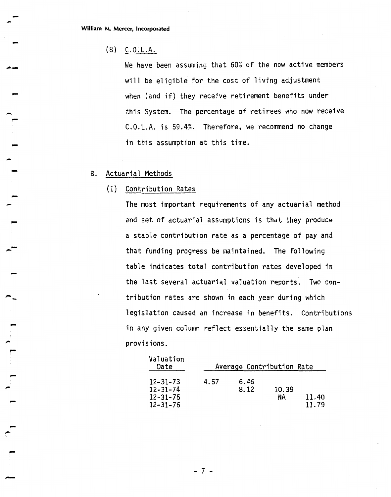### (8) C.O.L.A.

We have been assuming that 60% of the now active members will be eligible for the cost of living adjustment when (and if) they receive retirement benefits under this System. The percentage of retirees who now receive C.O.L.A. is 59.4%. Therefore, we recommend no change in this assumption at this time.

### B. Actuarial Methods

(I) Contribution Rates

The most important requirements of any actuarial method and set of actuarial assumptions is that they produce a stable contribution rate as a percentage of pay and that funding progress be maintained. The following table indicates total contribution rates developed in the last several actuarial valuation reports. Two contribution rates are shown in each year during which legislation caused an increase in benefits. Contributions in any given column reflect essentially the same plan provisions.

| Valuation<br>Date                            |      | Average Contribution Rate |             |                |
|----------------------------------------------|------|---------------------------|-------------|----------------|
| 12-31-73<br>12-31-74<br>12–31–75<br>12–31–76 | 4.57 | 6.46<br>8.12              | 10.39<br>ΝA | 11.40<br>11.79 |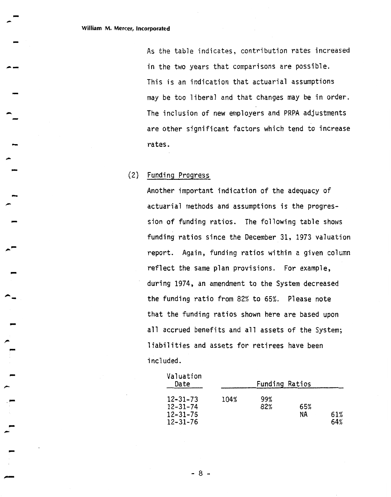As the table indicates, contribution rates increased in the two years that comparisons are possible. This is an indication that actuarial assumptions may be too liberal and that changes may be in order. The inclusion of new employers and PRPA adjustments are other significant factors which tend to increase rates.

### (2) Funding Progress

Another important indication of the adequacy of actuarial methods and assumptions is the progression of funding ratios. The following table shows funding ratios since the December 31, 1973 valuation report. Again, funding ratios within **2** given column reflect the same plan provisions. For example, during 1974, an amendment to the System decreased the funding ratio from 82% to 65%. Please note that the funding ratios shown here are based upon all accrued benefits and a17 assets of the System; liabilities and assets for retirees have been i ncl uded.

| Valuation<br>Date                                                    |      | <b>Funding Ratios</b> |           |            |
|----------------------------------------------------------------------|------|-----------------------|-----------|------------|
| $12 - 31 - 73$<br>$12 - 31 - 74$<br>$12 - 31 - 75$<br>$12 - 31 - 76$ | 104% | 99%<br>82%            | 65%<br>ΝA | 61%<br>64% |

 $-8 -$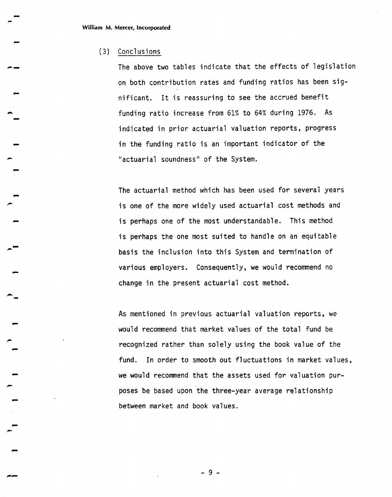### (3) Conclusions

The above two tables indicate that the effects of legislation on both contribution rates and funding ratios has been significant. It is reassuring to see the accrued benefit funding ratio increase from 61% to 64% during 1976. As indicated in prior actuarial valuation reports, progress in the funding ratio is an important indicator of the "actuarial soundness" of the System.

The actuarial method which has been used for several years is one of the more widely used actuarial cost methods and is perhaps one of the most understandable. This method is perhaps the one most suited to handle on an equitable basis the inclusion into this System and termination of various employers. Consequently, we would recommend no change in the present actuarial cost method.

As mentioned in previous actuarial valuation reports, we would recommend that market values of the total fund be recognized rather than solely using the book value of the fund. In order to smooth out fluctuations in market values, we would recommend that the assets used for valuation purposes be based upon the three-year average relationship between market and book values.

 $-9-$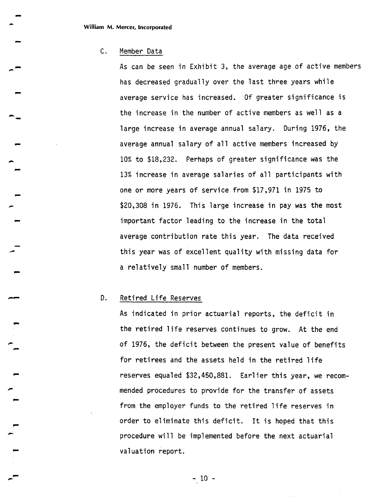### C. Member Data

As can be seen in Exhibit **3,** the average age of active members has decreased gradually over the last three years while average service has increased. Of greater significance is the increase in the number of active members as well as a large increase in average annual salary. During 1976, the average annual salary of all active members increased by 10% to \$18,232. Perhaps of greater significance was the 13% increase in average salaries of all participants with one or more years of service from \$17,971 in 1975 to \$20,308 in 1976. This large increase in pay was the most important factor leading to the increase in the total average contribution rate this year. The data received this year was of excel lent qua1 ity with missing data for a relatively small number of members.

### D. Retired Life Reserves

 $\overline{r}$ 

As indicated in prior actuarial reports, the deficit in the retired life reserves continues to grow. At the end of 1976, the deficit between the present value of benefits for retirees and the assets held in the retired life reserves equaled \$32,450,881. Earl ier this year, we recommended procedures to provide for the transfer of assets from the employer funds to the retired life reserves in order to eliminate this deficit. It is hoped that this procedure will be implemented before the next actuarial valuation report.

 $-10 -$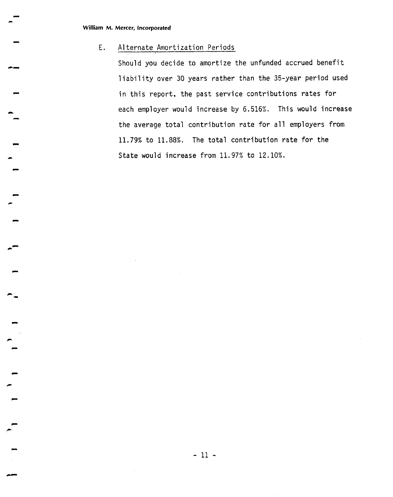$\ddot{\phantom{1}}$ 

### E. Alternate Amortization Periods

Should you decide to amortize the unfunded accrued benefit liability over 30 years rather than the 35-year period used in this report, the past service contributions rates for each employer would increase by 6.516%. This would increase the average total contribution rate for a11 employers from 11.79% to 11.88%. The total contribution rate for the State would increase from 11.97% to 12.10%.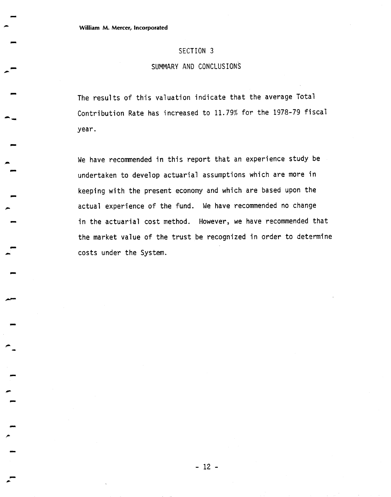### SECTION 3

### SUMMARY AND CONCLUSIONS

The results of this valuation indicate that the average Total Contribution Rate has increased to 11.79% for the 1978-79 fiscal year.

We have recommended in this report that an experience study be undertaken to develop actuarial assumptions which are more in keeping with the present economy and which are based upon the actual experience of the fund. We have recommended no change in the actuarial cost method. However, we have recommended that the market value of the trust be recognized in order to determine costs under the System.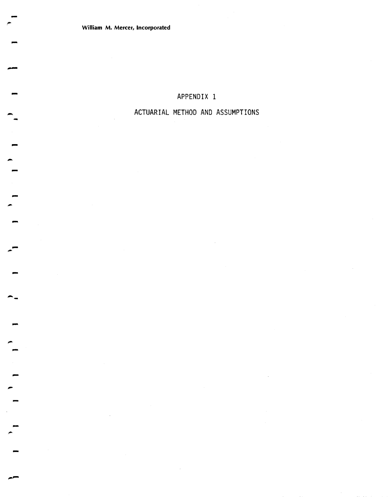# **APPENDIX 1**

# **ACTUARIAL METHOD AND ASSUMPTIONS**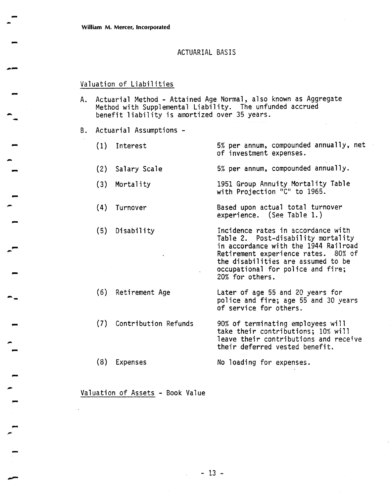### ACTUARIAL BASIS

### Valuation of Liabilities

- A. Actuarial Method Attained Age Normal, also known as Aggregate Method with Supplemental Liability. The unfunded accrued benefit liability is amortized over 35 years.
- B. Actuarial Assumptions
	- (1) Interest 5% per annum, compounded annually, net of investment expenses.
	- (2) Salary Scale 5% per annum, compounded annually.
	- (3) Mortality 1951 Group Annuity Mortality Table with Projection "C" to 1965.
	- (4) Turnover Based upon actual total turnover experience. (See Table 1.)
	- (5) Disability **1** Incidence rates in accordance with Table 2. Post-disability mortality in accordance with the 1944 Railroad Retirement experience rates. 80% of the disabilities are assumed to be occupational for police and fire;
	- (6) Retirement Age Later of age 55 and 20 years for police and fire; age 55 and 30 years of service for others.

20% for others.

- (7) Contri bution Refunds 90% of terminating employees will take their contributions; 20% will leave their contributions and receive their deferred vested benefit.
- (8) Expenses No loading for expenses.

Valuation of Assets - Book Value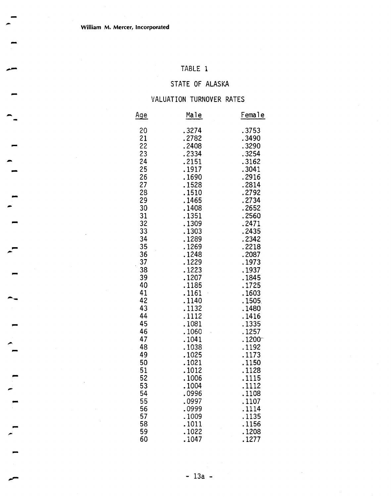# TABLE 1

# STATE OF ALASKA

# VALUATION TURNOVER RATES

| <u>Age</u> | Male   | Female |
|------------|--------|--------|
| 20         | .3274  | .3753  |
| 21         | .2782  | .3490  |
| 22         | .2408  | .3290  |
| 23         | .2334  | 3254   |
| 24         | .2151  | .3162  |
| 25         | .1917  | .3041  |
| 26         | .1690  | . 2916 |
| 27         | 1528   | .2814  |
| 28         | .1510  | . 2792 |
| 29         | 1465   | . 2734 |
| 30         | 1408   | .2652  |
| 31         | 1351   | .2560  |
| 32         | .1309  | .2471  |
| 33         | .1303  | .2435  |
| 34         | 1289   | .2342  |
| 35         | .1269  | .2218  |
| 36         | .1248  | .2087  |
| 37         | 1229   | .1973  |
| 38         | 1223   | .1937  |
| 39         | .1207  | .1845  |
| 40         | .1185  | . 1725 |
| 41         | 1161   | .1603  |
| 42         | 1140   | 1505   |
| 43         | .1132  | 1480   |
| 44         | 1112   | .1416  |
| 45         | 1081   | .1335  |
| 46         | 1060   | 1257   |
| 47         | . 1041 | 1200   |
| 48         | .1038  | . 1192 |
| 49         | 1025   | 1173   |
| 50         | .1021  | 1150   |
| 51         | . 1012 | 1128   |
| 52         | .1006  | .1115  |
| 53         | .1004  | 1112   |
| 54         | .0996  | .1108  |
| 55         | .0997  | .1107  |
| 56         | .0999  | .1114  |
| 57         | . 1009 | 1135   |
| 58         | . 1011 | 1156   |
| 59         | 1022   | .1208  |
| 60         | 1047   | 1277   |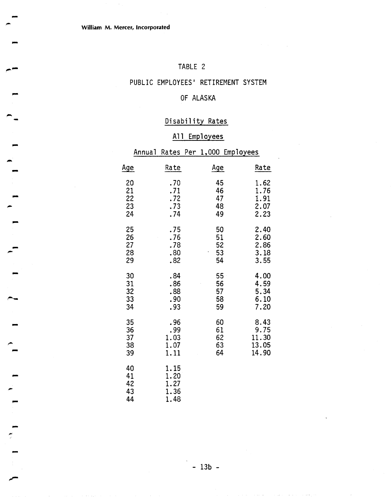# TABLE 2

# PUBLIC EMPLOYEES' RETIREMENT SYSTEM

## OF ALASKA

# Disability Rates

# All Employees

|                            | Annual |                                      |                            | <u>Rates Per 1,000 Employees</u> |                         |                                      |
|----------------------------|--------|--------------------------------------|----------------------------|----------------------------------|-------------------------|--------------------------------------|
| <u>Age</u>                 |        | Rate                                 | <u>Age</u>                 |                                  |                         | Rate                                 |
| 20<br>21<br>22<br>23<br>24 |        | .70<br>.71<br>.72<br>.73<br>.74      | 45<br>46<br>47<br>48<br>49 |                                  |                         | 1.62<br>1.76<br>1.91<br>2.07<br>2.23 |
| 25<br>26<br>27<br>28<br>29 |        | .75<br>.76<br>.78<br>.80<br>.82      | 50<br>51<br>52<br>53<br>54 |                                  |                         | 2.40<br>2.60<br>2.86<br>3.18<br>3.55 |
| 30<br>31<br>32<br>33<br>34 |        | .84<br>.86<br>.88<br>.90<br>.93      | 55<br>56<br>57<br>58<br>59 |                                  |                         | 4.00<br>4.59<br>5.34<br>6.10<br>7.20 |
| 35<br>36<br>37<br>38<br>39 |        | . 96<br>.99<br>1.03<br>1.07<br>1.11  | 60<br>61<br>62<br>63<br>64 |                                  | 11.30<br>13.05<br>14.90 | 8.43<br>9.75                         |
| 40<br>41<br>42<br>43<br>44 |        | 1.15<br>1.20<br>1.27<br>1.36<br>1.48 |                            |                                  |                         |                                      |

**C3** 

**dl-**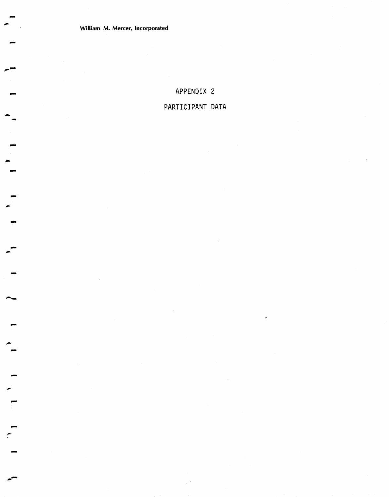# **APPENDIX 2 PARTICIPANT DATA**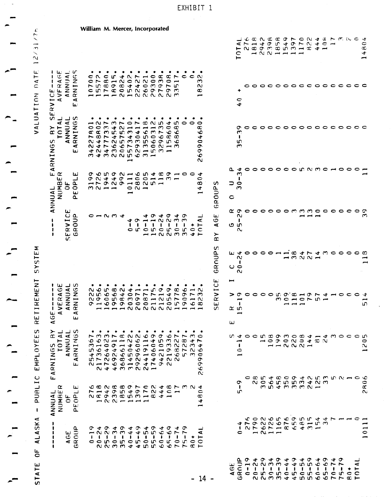| C,<br>ч,                                                                                                               |                                                                                |                         |                                                | William M. Mercer, Incorporated |                                                |                |              |                                                                                                                                                                                                                                                                                                                                                                                                                                                                                 |                          |                       |                                                                                                                                                                                                              |   |                    |                                  |                             |              |                                         |                                                                                           |                               |                                    |                                                               |                                                                                                                    |                                                                                                                                                       |  |                                                                                                                                                                                                                                                                                                                                                                                             |              |                     |              |                          |                           |                                                     |         |                                |
|------------------------------------------------------------------------------------------------------------------------|--------------------------------------------------------------------------------|-------------------------|------------------------------------------------|---------------------------------|------------------------------------------------|----------------|--------------|---------------------------------------------------------------------------------------------------------------------------------------------------------------------------------------------------------------------------------------------------------------------------------------------------------------------------------------------------------------------------------------------------------------------------------------------------------------------------------|--------------------------|-----------------------|--------------------------------------------------------------------------------------------------------------------------------------------------------------------------------------------------------------|---|--------------------|----------------------------------|-----------------------------|--------------|-----------------------------------------|-------------------------------------------------------------------------------------------|-------------------------------|------------------------------------|---------------------------------------------------------------|--------------------------------------------------------------------------------------------------------------------|-------------------------------------------------------------------------------------------------------------------------------------------------------|--|---------------------------------------------------------------------------------------------------------------------------------------------------------------------------------------------------------------------------------------------------------------------------------------------------------------------------------------------------------------------------------------------|--------------|---------------------|--------------|--------------------------|---------------------------|-----------------------------------------------------|---------|--------------------------------|
| $\frac{1}{2}$<br>こ                                                                                                     |                                                                                |                         |                                                |                                 |                                                |                |              |                                                                                                                                                                                                                                                                                                                                                                                                                                                                                 |                          |                       |                                                                                                                                                                                                              |   |                    |                                  |                             |              |                                         |                                                                                           |                               |                                    | $\prec$<br>c<br>$\overline{}$                                 | LEANGADHON4AHMAC4<br>アーム つら ムロア つんり<br>⊢ ഡ മ ന ന മ ന ന ⊶ മ අ ⊶                                                     |                                                                                                                                                       |  | $\rightarrow$ $\sim$ $\sim$ $\rightarrow$ $\rightarrow$ $\rightarrow$ $\rightarrow$                                                                                                                                                                                                                                                                                                         |              |                     |              | $\overline{\phantom{a}}$ |                           |                                                     |         | $\ddot{\phantom{a}}$<br>Ö<br>¢ |
| $\overline{A}$<br>$\mathbf{I}$<br>$\mathbf{I}$<br>$\mathbf{I}$<br>$\mathbf{r}$<br>ш<br>$\mathbf C$<br>ERV <sub>I</sub> | المقا<br><b>VERAGE</b><br>ANNUAL<br>RNTNGS<br>$\blacktriangleleft$             | $\equiv$ $\sigma$       | $\blacktriangleleft$<br>ш                      |                                 | $\sim$ $\sim$<br>$\sim$ $\sim$<br>يسبوا يتسم   | $\mathbf{C}$   |              |                                                                                                                                                                                                                                                                                                                                                                                                                                                                                 |                          |                       | $0.407 - 0.0$<br>$\mathfrak{a} \rightarrow \mathfrak{a} \circ \mathfrak{a} \circ \mathfrak{a} \circ \mathfrak{a}$<br>758984403975<br>c u r c o u v o o r o m<br>--N-NRRRNM                                   |   | $\alpha$<br>$\sim$ | $\circ$ $\overline{\phantom{0}}$ | $\infty$ $\sim$             | $\bullet$    | $\sim$ $\sim$                           | m<br>$\sim$<br>$\infty$<br>أسبر                                                           |                               |                                    | $\frac{1}{4}$                                                 |                                                                                                                    |                                                                                                                                                       |  |                                                                                                                                                                                                                                                                                                                                                                                             |              |                     |              |                          |                           |                                                     |         |                                |
| VALUATION<br>S<br>S<br>ARNING                                                                                          | ᆚ<br>⋖<br>TOTL                                                                 |                         | ANNUAL<br>IRNINGS<br>$\blacktriangleleft$<br>ш |                                 | $\circ \circ$<br>$\sim$ $\infty$<br>N +<br>4 N | $\overline{ }$ |              |                                                                                                                                                                                                                                                                                                                                                                                                                                                                                 | يسم                      | ٠                     | ٠<br>1215223450<br>$\begin{array}{c}\n\mathbf{C} \\ \mathbf{C} \\ \mathbf{D} \\ \mathbf{C}\n\end{array}$<br>αασμησασσιο<br>$4 - 4 - 0 - 0 - 0 - 0$<br>r c cromon-m<br>$400000+077$<br>m d m n n m m —        |   |                    | $\bullet$ $\infty$               |                             |              | $\bullet$                               | $\circ$<br>œ<br>৩<br>ෑ<br>$\bullet$<br>Ò<br>$\tilde{\sigma}$<br>Ō<br>$\tilde{\mathbf{Q}}$ |                               |                                    | σ<br>S<br>$\mathbf{r}$<br>ហ<br>$\mathbf{\tilde{c}}$           |                                                                                                                    |                                                                                                                                                       |  |                                                                                                                                                                                                                                                                                                                                                                                             |              |                     |              |                          |                           |                                                     |         |                                |
| نغة<br>ANNUAL                                                                                                          | $\propto$<br>NUMBE                                                             | 5 <sup>6</sup>          | ئىلا<br>ا۔<br>لغا<br>$\Delta$                  |                                 | $\sigma \sim$                                  | $M \sim -1$    |              |                                                                                                                                                                                                                                                                                                                                                                                                                                                                                 | $\overline{\phantom{a}}$ | $\circ$ $\sim$ $\sim$ | o o n o n u o n 4 c o u o o<br>4401001131                                                                                                                                                                    |   |                    |                                  |                             |              |                                         | ォ<br>0<br>148                                                                             | GROUPS                        | $\supset$ $\circ$<br>$\circ$       | a +<br>$\mathbf{\Omega}$<br>$\mathbf{I}$<br>$\mathbf{\omega}$ | $\circ$                                                                                                            |                                                                                                                                                       |  |                                                                                                                                                                                                                                                                                                                                                                                             |              |                     |              | oooooonnmodoo            |                           |                                                     | - -     |                                |
|                                                                                                                        |                                                                                | ш<br><b>GROUP</b><br>U. |                                                |                                 |                                                | $-0.07$        |              |                                                                                                                                                                                                                                                                                                                                                                                                                                                                                 |                          |                       | <b>49112233</b>                                                                                                                                                                                              |   |                    |                                  | 494049                      |              | $-mNNNM +$                              | ⋖                                                                                         | لعا<br>$\circ$<br>ৰ<br>≻<br>œ | $\alpha$ or<br>ဖော                 | $\sim$<br>$\mathbf{I}$<br>$\sim$                              | 0                                                                                                                  |                                                                                                                                                       |  | ooooommmoco                                                                                                                                                                                                                                                                                                                                                                                 |              |                     |              |                          | 00                        |                                                     |         | C<br>m                         |
| SYSTEM                                                                                                                 |                                                                                |                         |                                                |                                 |                                                |                |              |                                                                                                                                                                                                                                                                                                                                                                                                                                                                                 |                          |                       |                                                                                                                                                                                                              |   |                    |                                  |                             |              |                                         |                                                                                           | GROUPS                        | ا ئىلا                             | ෑ<br>$\sim$<br>-<br>ပ ဝ<br>$\mathbf{\alpha}$                  | $\bullet$                                                                                                          |                                                                                                                                                       |  |                                                                                                                                                                                                                                                                                                                                                                                             |              | $  \sim$ $\sim$ $-$ |              |                          |                           |                                                     |         | −                              |
| IREMENT<br>ı<br>نه<br>ن<br>Ш<br>$\overline{\mathbf{A}}$<br>$\propto$                                                   | ا لنا<br>VERAGE<br>ANNUAL<br>RNINGS<br>$\mathbf{I}$<br>$\mathbf{I}$<br>Ŧ.<br>⋖ | ∟ ഗ                     | ٩<br>ш                                         |                                 | N O<br>ດ ທ<br>$\sim$ $\sigma$                  | ۱O             |              |                                                                                                                                                                                                                                                                                                                                                                                                                                                                                 |                          |                       | $\begin{array}{c}\n\hline\n\text{non-} \rightarrow \text{non-} \rightarrow \text{non-} \end{array}$<br>$0 4011114$<br>oncmoc-Nuro-N<br>0 - 0 0 0 0 0 0 - - 0 10 0 0 0<br>----- N N N N N N ---               |   |                    |                                  | တ ထ<br>$\rightarrow$ $\sim$ | ข            | $\sim$ $\sim$<br>$\sigma \vdash \sigma$ |                                                                                           | RVICE<br>ш<br>S               | $\overline{\phantom{a}}$<br>⋗<br>ш | ਼<br>$\overline{\phantom{0}}$<br>-<br>≃ ທ                     | 0                                                                                                                  |                                                                                                                                                       |  | $\begin{array}{c}\n\mathbf{m} & \mathbf{c} \\ \mathbf{m} & \mathbf{c} \\ \mathbf{m} & \mathbf{c} \\ \mathbf{m} & \mathbf{c} \\ \mathbf{m} & \mathbf{c} \\ \mathbf{m} & \mathbf{c} \\ \mathbf{m} & \mathbf{c} \\ \mathbf{m} & \mathbf{c} \\ \mathbf{m} & \mathbf{c} \\ \mathbf{m} & \mathbf{c} \\ \mathbf{m} & \mathbf{c} \\ \mathbf{m} & \mathbf{c} \\ \mathbf{m} & \mathbf{c} \\ \mathbf{$ |              |                     |              |                          |                           | OOO WOW HON + HOOO                                  |         | ಾ<br>−<br>in.                  |
| S<br>≻<br>لغا<br>œ<br>EMPLOYE<br>ທ<br>ARNING                                                                           | $\rightarrow$ $\rightarrow$ $\sim$<br>TOTAL<br>ANNUAL<br>ANNINGS               |                         | $\mathbf{I}$<br>نبغية                          | $\bullet$                       | $\bullet$                                      | ٠              |              |                                                                                                                                                                                                                                                                                                                                                                                                                                                                                 |                          | ٠                     | ٠<br>r m m r c q q q o o q r r m o<br><b>OONAANOAJOMNO</b><br>m - - - - - - - - - - - m m m m +<br>nottocoochoorno<br>4 M G N C LO M H O N H C L M C<br><b>ULNOWAN4400</b><br>21766194792<br>$N + 4 M M N -$ | ٠ | ٠                  |                                  |                             |              | ォト                                      | σ<br>ᡡ<br>۰c<br>$\sim$                                                                    |                               |                                    | يبتم<br>$\mathbf{I}$<br>$\circ$<br>$\rightarrow$              | n 400 m 30 w 0 3 4 - 4 w 0 0 0 m                                                                                   |                                                                                                                                                       |  | $\sim$ $\sim$ $\sim$ $\sim$ $\sim$ $\sim$ $\sim$<br>$  \sim$ $\sim$ $\sim$ $-$                                                                                                                                                                                                                                                                                                              |              |                     |              |                          |                           |                                                     |         | 0<br>$\sim$<br>بسم             |
| <b>PURLIC</b><br>ىغا<br>ANNIA<br>$\mathbf I$                                                                           | $\propto$<br>سا ہے<br>NUMBI<br>OF<br>PEOPI                                     |                         | سا<br>اسا<br>ш                                 |                                 |                                                |                |              | $\overline{\phantom{a}}$ $\overline{\phantom{a}}$ $\overline{\phantom{a}}$ $\overline{\phantom{a}}$ $\overline{\phantom{a}}$ $\overline{\phantom{a}}$ $\overline{\phantom{a}}$ $\overline{\phantom{a}}$ $\overline{\phantom{a}}$ $\overline{\phantom{a}}$ $\overline{\phantom{a}}$ $\overline{\phantom{a}}$ $\overline{\phantom{a}}$ $\overline{\phantom{a}}$ $\overline{\phantom{a}}$ $\overline{\phantom{a}}$ $\overline{\phantom{a}}$ $\overline{\phantom{a}}$ $\overline{\$ |                          |                       | C C N C C O L C N T C L M N 4<br>フレサ りょうち クリアー<br>$\alpha$ $\alpha$ $\sigma$ $\sigma$ $\alpha$ $\alpha$ $\sigma$ $\sigma$ $\sigma$ $\sigma$ $\sigma$                                                         |   |                    |                                  |                             |              |                                         | 0<br>$\infty$<br>4<br>اسم                                                                 |                               |                                    | ຶ<br>Ŧ.<br>m                                                  |                                                                                                                    |                                                                                                                                                       |  | N O O L D D W 4 N M<br>mnammmn                                                                                                                                                                                                                                                                                                                                                              |              |                     |              |                          |                           | o co n 4 c 6 o 4 N n m n n — 6 C                    |         | $\alpha$<br>$\sim$             |
| ALASKA<br>,<br>ı<br>ı                                                                                                  |                                                                                | AGE<br>ROUP             | ی                                              |                                 | $\mathbf{1}$                                   | - 1            | $\mathbf{I}$ | $\mathbf{I}$                                                                                                                                                                                                                                                                                                                                                                                                                                                                    |                          |                       | <b>つ 4 の 4 の 4 の 4 の 4 の 4 の</b><br>$-0.0197977788$<br>1111111<br>cononononcronoo<br>2 2 3 3 4 4 5 5 6 6 7 7 8 7                                                                                             |   |                    |                                  | $C \vdash F$                | $\mathbf{I}$ | $+ +$                                   | ⋖                                                                                         |                               |                                    | 0                                                             | 4 7 9 2 2 6 7 5 8 1 5 3<br>1.0 F.0 F.0 C.4 M.                                                                      | $\overline{\phantom{m}}\hspace{0.1cm} \overline{\phantom{m}}\hspace{0.1cm} \overline{\phantom{m}}\hspace{0.1cm} \overline{\phantom{m}}\hspace{0.1cm}$ |  |                                                                                                                                                                                                                                                                                                                                                                                             |              |                     |              |                          |                           | CONOL CODE 447 - - - - -                            |         | $\overline{0}$                 |
| ٣<br>TATE<br>$\overline{1}$                                                                                            |                                                                                |                         |                                                |                                 |                                                |                |              |                                                                                                                                                                                                                                                                                                                                                                                                                                                                                 |                          |                       |                                                                                                                                                                                                              |   |                    |                                  |                             |              |                                         | $-14 -$                                                                                   |                               |                                    | <b>99</b><br>$\circ$                                          | <b>L 0 4 0 4 0 4 0 4 0 4 0 4 0</b><br><b>ANNMATHOMOON</b><br>$\ddot{\phantom{1}}$<br>a a c c c c c n c n c n c n c |                                                                                                                                                       |  | T 1 1 1 1 1                                                                                                                                                                                                                                                                                                                                                                                 | $\mathbf{r}$ | - 1                 | $\mathbf{1}$ | $\mathbf{r}$             | $\mathbf{I}$<br><b>in</b> | $+ +$<br>$\circ$ $\circ$<br>NNMM + + NN O O N N O H | نـ<br>⋖ |                                |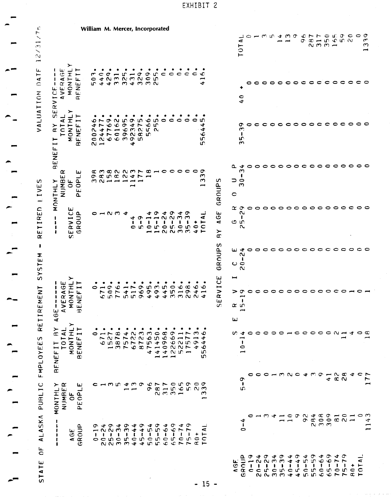| 1                          |
|----------------------------|
|                            |
| f                          |
|                            |
|                            |
| pm.                        |
| -                          |
| pent<br>.<br>$\frac{1}{2}$ |
|                            |
| į,                         |
|                            |
|                            |
| Į                          |
| ens.                       |
|                            |
|                            |
|                            |
|                            |

| c<br>r<br>۰.<br>$\infty$<br>ヽ<br>$\sim$<br>$\overline{ }$ |                                                                    |                                                                   |                                                                    | William M. Mercer, Incorporated |                                       |                                |                                                                                                                                                                                                                                                                                                                                                                                                                                                                                                                                 |   |        |                            |                                                                                                                                                                                                                                                                                                                                                                                                                                                                                                                                                                                              |                                                        |                                                                                                                            |              |                      |                                       |                                   |                                                          |                    |                           | TOTAL                                                                     | $\mathbf{C}$    |   |         | $M0$ $M0$ $M0$                                                                                                                                          | يسم بسم         |  | Ō | $\infty$ | r.<br>$-500$<br>$\alpha$ m $\tilde{m}$ $\rightarrow$                                                                                                      | $\circ$             |     | $\mathfrak{c}$ $\mathfrak{o}$ $\mathfrak{o}$ $\mathfrak{o}$ $\mathfrak{o}$ |           |                 | $\tau$<br>m<br>-                         |
|-----------------------------------------------------------|--------------------------------------------------------------------|-------------------------------------------------------------------|--------------------------------------------------------------------|---------------------------------|---------------------------------------|--------------------------------|---------------------------------------------------------------------------------------------------------------------------------------------------------------------------------------------------------------------------------------------------------------------------------------------------------------------------------------------------------------------------------------------------------------------------------------------------------------------------------------------------------------------------------|---|--------|----------------------------|----------------------------------------------------------------------------------------------------------------------------------------------------------------------------------------------------------------------------------------------------------------------------------------------------------------------------------------------------------------------------------------------------------------------------------------------------------------------------------------------------------------------------------------------------------------------------------------------|--------------------------------------------------------|----------------------------------------------------------------------------------------------------------------------------|--------------|----------------------|---------------------------------------|-----------------------------------|----------------------------------------------------------|--------------------|---------------------------|---------------------------------------------------------------------------|-----------------|---|---------|---------------------------------------------------------------------------------------------------------------------------------------------------------|-----------------|--|---|----------|-----------------------------------------------------------------------------------------------------------------------------------------------------------|---------------------|-----|----------------------------------------------------------------------------|-----------|-----------------|------------------------------------------|
| ىنا<br>$\overline{\phantom{0}}$<br>$\tilde{C}$            | ŧ.<br>$\mathbf{I}$<br>$\mathbf{I}$<br>$\mathbf{I}$<br>نغا<br>RVICI | ≻<br>نغا<br>$\overline{c}$<br>$\blacktriangleleft$<br><b>AVER</b> | ⊢<br>MONTHI<br>IENEFTT<br>$\bar{\mathbf{r}}$                       | ٠                               |                                       |                                | $\begin{array}{c} 0 & 4 & 4 & 6 & 6 \\ 0 & 4 & 6 & 6 & 6 \\ 0 & 4 & 6 & 6 & 6 \\ 0 & 0 & 0 & 0 & 4 \\ 0 & 0 & 0 & 0 & 0 \\ 0 & 0 & 0 & 0 & 0 \\ 0 & 0 & 0 & 0 & 0 \\ 0 & 0 & 0 & 0 & 0 \\ 0 & 0 & 0 & 0 & 0 \\ 0 & 0 & 0 & 0 & 0 \\ 0 & 0 & 0 & 0 & 0 \\ 0 & 0 & 0 & 0 & 0 \\ 0 & 0 & 0 & 0 & 0 \\ 0 & 0 & 0 & 0 & 0 \\ 0 &$                                                                                                                                                                                                    |   |        |                            |                                                                                                                                                                                                                                                                                                                                                                                                                                                                                                                                                                                              | $\mathfrak{c}$                                         | $c$ $c$ $c$                                                                                                                |              |                      | ٠<br>$\sim$ $\sim$                    | ٠                                 | ۰c<br>−<br>ෑ                                             |                    |                           | 40                                                                        |                 | င | $\circ$ | 0                                                                                                                                                       | $\circ$ $\circ$ |  |   |          | $\circ \circ \circ \circ \circ \circ \circ \circ$                                                                                                         |                     |     |                                                                            |           |                 |                                          |
| VALUATION                                                 | ⊢                                                                  |                                                                   | IT BY SEF<br>TOTAL<br>MONTHLY<br>BENEFIT<br>œ                      | ⊕                               | $\overline{ }$<br>チト<br>$\sim$ $\sim$ |                                | 889                                                                                                                                                                                                                                                                                                                                                                                                                                                                                                                             |   | ٠<br>÷ | ٠<br>$476$<br>$76$         |                                                                                                                                                                                                                                                                                                                                                                                                                                                                                                                                                                                              | n.<br>$\mathbf{r}$                                     | $\bullet$                                                                                                                  | $\bullet$    | $\circ$              | $\circ$                               |                                   | LΩ,<br>ෑ<br>ෑ<br>Ő.<br>۱ñ<br>in.                         |                    |                           | σ<br>$\mathbf{\mathcal{C}}$<br>$\pmb{\mathfrak{z}}$<br>۱ņ<br>$\mathbf{r}$ | $\circ$ $\circ$ |   |         | $\begin{array}{c} \texttt{c} \texttt{c} \texttt{c} \texttt{c} \texttt{c} \texttt{c} \texttt{c} \texttt{c} \texttt{c} \texttt{c} \texttt{c} \end{array}$ |                 |  |   |          |                                                                                                                                                           |                     |     |                                                                            | $\circ$   | 0               |                                          |
| ഗ<br>IVE                                                  | <b>BENEF</b><br>NONTHLY                                            | $\propto$<br><b>NUMBEI</b>                                        | ىيا<br>of<br>Popy<br>ه                                             |                                 | œ m                                   |                                | <b>COOCOLCOOC</b><br>$\alpha$ $\alpha$ $\alpha$ $\alpha$ $\alpha$ $\alpha$<br>$M_{\odot}$ $M_{\odot}$ $M_{\odot}$ $M_{\odot}$ $M_{\odot}$                                                                                                                                                                                                                                                                                                                                                                                       |   | ᆋ      |                            |                                                                                                                                                                                                                                                                                                                                                                                                                                                                                                                                                                                              |                                                        |                                                                                                                            |              |                      |                                       | $\bullet$                         | ᠊ᡉ<br>$\mathbf{r}$<br>$\sim$<br>$\overline{\phantom{0}}$ | GROUPS             | ၁ ၀<br>c                  | ى م<br>$\mathbf{\mathsf{c}}$<br>$\mathbf{I}$<br>$\mathbf{\Omega}$         | $\circ$         |   |         | $\begin{array}{c} \circ \circ \circ \circ \circ \circ \circ \circ \circ \circ \circ \circ \circ \end{array}$                                            |                 |  |   |          |                                                                                                                                                           |                     |     |                                                                            |           | $\circ$         |                                          |
| IRED<br>$\blacksquare$<br>$\tilde{\mathbf{g}}$            | 1<br>$\mathbf{I}$<br>$\mathbf{I}$<br>,                             | نعا                                                               | <b>ERVICE</b><br>$\mathbf C$<br>c.                                 |                                 |                                       |                                | $-0.07 +$                                                                                                                                                                                                                                                                                                                                                                                                                                                                                                                       |   | ෑ      | $\sigma -$<br>$\mathbf{I}$ | ෑ<br>$\mathbf{I}$<br>an an an an<br>an an an an                                                                                                                                                                                                                                                                                                                                                                                                                                                                                                                                              | $\sigma$<br>$\overline{\phantom{a}}$<br>$\blacksquare$ | $4\sigma$<br>$\sim$ $\sim$ $\sim$<br>-                                                                                     | J.           | $\sim$ $\sigma$<br>- | $\mathbf{\mathsf{C}}$<br>$\mathbf{I}$ | $+ +$<br>$\frac{6}{4}$            | نب<br>⋖<br>$\mathbf C$<br>$\overline{\phantom{a}}$       | ىنا<br>q<br>≻<br>R | $\propto$ $\sigma$<br>م ہ | $\sim$<br>ł<br>$\sim$                                                     | 0               |   |         | $\begin{array}{c} \circ \circ \circ \circ \circ \circ \circ \circ \circ \end{array}$                                                                    |                 |  |   |          |                                                                                                                                                           | $\circ \circ \circ$ |     |                                                                            | $\bullet$ | $\circ$ $\circ$ |                                          |
| 8<br><b>SYSTEM</b>                                        |                                                                    |                                                                   |                                                                    |                                 |                                       |                                |                                                                                                                                                                                                                                                                                                                                                                                                                                                                                                                                 |   |        |                            |                                                                                                                                                                                                                                                                                                                                                                                                                                                                                                                                                                                              |                                                        |                                                                                                                            |              |                      |                                       |                                   |                                                          | GROUPS             | نيا                       | ෑ<br>$\mathbf{\Omega}$<br>ŧ<br>ပင<br>$\sim$                               | 0               |   |         |                                                                                                                                                         |                 |  |   |          |                                                                                                                                                           |                     |     |                                                                            |           | $\circ$         |                                          |
| MENT<br>نعا<br>1R                                         | t.<br>ŧ.<br>ш<br>ō<br>ৰ                                            | ≻<br>⋖                                                            | VERAGE<br>MONTHL<br>JENEFIT                                        | 0                               |                                       |                                | 67106495<br>569765776953                                                                                                                                                                                                                                                                                                                                                                                                                                                                                                        |   |        |                            |                                                                                                                                                                                                                                                                                                                                                                                                                                                                                                                                                                                              |                                                        | $\mathfrak{w}$<br>$40,0004$<br>$40,0004$                                                                                   | $\circ$      | ∾                    | $\infty$                              | O                                 | ∾<br>$\rightarrow$ $\rightarrow$                         | ERVICE<br>S        | $\blacksquare$<br>⋗<br>ш  | ŧ<br>α ທ                                                                  |                 |   |         | 。。。。。。。。。。。                                                                                                                                             |                 |  |   |          |                                                                                                                                                           | $\circ$ $\circ$     |     | $\sim$ $-$                                                                 |           |                 |                                          |
| RET<br>S<br>FMPLOYEE                                      | ≻<br>ENEI                                                          | $\overline{\phantom{a}}$                                          | ≻<br>ᆜᄂ<br>$C$ $4$ $T$ $H$<br>FIT F<br>TOTA<br>MONTH<br>ENEFI<br>₾ |                                 | ٠                                     | ٠<br>٠<br>$\sim$ $\sim$ $\sim$ | ٠<br>rarranono v -r<br>$\mathcal{L} \cup \mathcal{L} \cup \mathcal{L} \cup \mathcal{L} \cup \mathcal{L} \cup \mathcal{L} \cup \mathcal{L} \cup \mathcal{L} \cup \mathcal{L} \cup \mathcal{L} \cup \mathcal{L} \cup \mathcal{L} \cup \mathcal{L} \cup \mathcal{L} \cup \mathcal{L} \cup \mathcal{L} \cup \mathcal{L} \cup \mathcal{L} \cup \mathcal{L} \cup \mathcal{L} \cup \mathcal{L} \cup \mathcal{L} \cup \mathcal{L} \cup \mathcal{L} \cup \mathcal{L} \cup \mathcal{L} \cup \mathcal{L} \cup \mathcal{$<br>mmroxrmonnr 40 | ۰ | ٠      | ٠                          | ٠<br>$\begin{array}{ccccccccccccccccc} \multicolumn{4}{c}{} & \multicolumn{4}{c}{} & \multicolumn{4}{c}{} & \multicolumn{4}{c}{} & \multicolumn{4}{c}{} & \multicolumn{4}{c}{} & \multicolumn{4}{c}{} & \multicolumn{4}{c}{} & \multicolumn{4}{c}{} & \multicolumn{4}{c}{} & \multicolumn{4}{c}{} & \multicolumn{4}{c}{} & \multicolumn{4}{c}{} & \multicolumn{4}{c}{} & \multicolumn{4}{c}{} & \multicolumn{4}{c}{} & \multicolumn{4}{c}{} & \multicolumn{4}{c}{} & \multicolumn{4}{c}{} &$                                                                                                 | ٠                                                      | ٠<br>チチチンドー<br>یسر بسر پسر                                                                                                 | ٠            | ٠                    |                                       | <u>ന ശ</u><br>وتتسر<br>$\sigma$ + | ෑ<br>ဟ<br>ທ                                              |                    |                           | $\rightarrow$<br>$\bullet$<br>$\circ$<br>يسر                              |                 |   |         | W 4 0 0 0 0 0 0 0 0 0 0 0 0 N 0 4 0 0                                                                                                                   |                 |  |   |          |                                                                                                                                                           |                     |     | $\overline{\phantom{0}}$                                                   |           |                 |                                          |
| PUBLIC                                                    | $\infty$<br>$\succ$ $\alpha$                                       |                                                                   | ئىئا<br>MONTHLY<br>NUMBER<br>OF<br>PEOPLE                          |                                 |                                       |                                |                                                                                                                                                                                                                                                                                                                                                                                                                                                                                                                                 |   |        |                            |                                                                                                                                                                                                                                                                                                                                                                                                                                                                                                                                                                                              |                                                        | $\begin{array}{c}\n\circ \circ \\ \circ \circ \\ \circ \\ \circ \\ \circ \\ \circ \\ \circ \\ \circ \\ \circ\n\end{array}$ |              |                      |                                       |                                   | ىسى                                                      |                    |                           | ᡡ<br>LС.                                                                  |                 |   |         | COOMMNOJMOMNEJ                                                                                                                                          |                 |  |   |          |                                                                                                                                                           | $4 \propto \omega$  |     |                                                                            |           | $\sim$ $\sim$   | ~<br>−                                   |
| ALASKA                                                    | 1<br>$\ddot{\phantom{1}}$<br>ł<br>1                                |                                                                   | AGE<br>ROUP<br>ဖ                                                   |                                 |                                       |                                | $\begin{array}{ccccccccccccc} \textbf{1} & \textbf{1} & \textbf{1} & \textbf{1} & \textbf{1} & \textbf{1} & \textbf{1} & \textbf{1} & \textbf{1} & \textbf{1} & \textbf{1} & \textbf{1} & \textbf{1} & \textbf{1} & \textbf{1} & \textbf{1} & \textbf{1} & \textbf{1} & \textbf{1} & \textbf{1} & \textbf{1} & \textbf{1} & \textbf{1} & \textbf{1} & \textbf{1} & \textbf{1} & \textbf{1} & \textbf{1} & \textbf{1} & \textbf{1} &$                                                                                            |   |        |                            | $\begin{array}{c} \begin{array}{c} \bullet \end{array} & \begin{array}{c} \bullet \end{array} & \begin{array}{c} \bullet \end{array} & \begin{array}{c} \bullet \end{array} & \begin{array}{c} \bullet \end{array} & \begin{array}{c} \bullet \end{array} & \begin{array}{c} \bullet \end{array} & \begin{array}{c} \bullet \end{array} & \begin{array}{c} \bullet \end{array} & \begin{array}{c} \bullet \end{array} & \begin{array}{c} \bullet \end{array} & \begin{array}{c} \bullet \end{array} & \begin{array}{c} \bullet \end{array} & \begin{array}{c} \bullet \end{array} & \begin{$ |                                                        | $\tilde{I}$                                                                                                                | $\mathbf{1}$ |                      | $\ddot{\phantom{1}}$                  |                                   | ⋖<br>$+ +$<br>$\mathbf C$                                |                    |                           | ₹<br>$\overline{0}$                                                       |                 |   |         | $  +$                                                                                                                                                   |                 |  |   |          | $\rightarrow \infty \circ \sim \rightarrow \infty \circ \rightarrow \infty$<br>$\sigma$ $\sigma$ $\sigma$ $\sigma$ $\alpha$ $\sim$ $\sim$<br>$\alpha$ m m |                     |     |                                                                            |           |                 | ొ<br>÷<br>$\overline{\phantom{a}}$<br>سم |
| $\overline{a}$<br>STATE                                   |                                                                    |                                                                   |                                                                    |                                 |                                       |                                |                                                                                                                                                                                                                                                                                                                                                                                                                                                                                                                                 |   |        |                            |                                                                                                                                                                                                                                                                                                                                                                                                                                                                                                                                                                                              |                                                        |                                                                                                                            |              |                      |                                       |                                   | $15 -$                                                   |                    |                           | c                                                                         |                 |   |         | ARCORONOMONO CONCO<br>ARCORONOMONO CONCO<br>ARCORONOMONO CONCO<br>N N M M + + D D O O T T T T T                                                         |                 |  |   |          |                                                                                                                                                           |                     | ব ক |                                                                            |           |                 |                                          |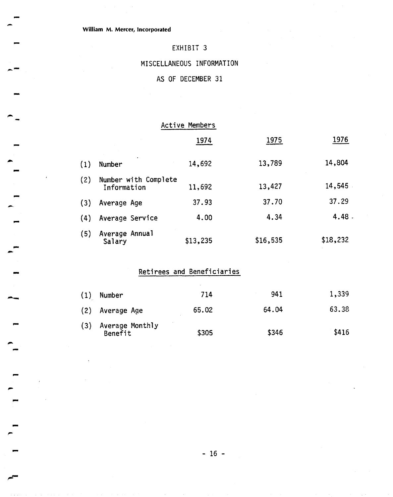# MISCELLANEOUS INFORMATION

### AS OF DECEMBER 31

|     |                                     | Active Members |          |          |
|-----|-------------------------------------|----------------|----------|----------|
|     |                                     | 1974           | 1975     | 1976     |
| (1) | Number                              | 14,692         | 13,789   | 14,804   |
| (2) | Number with Complete<br>Information | 11,692         | 13,427   | 14,545   |
| (3) | Average Age                         | 37.93          | 37.70    | 37.29    |
| (4) | Average Service                     | 4.00           | 4.34     | 4.48     |
| (5) | Average Annual<br>Salary            | \$13,235       | \$16,535 | \$18,232 |

# Retirees and Beneficiaries

| (1) | Number                     | 714   | 941   | 1,339 |
|-----|----------------------------|-------|-------|-------|
|     | (2) Average Age            | 65.02 | 64.04 | 63.38 |
| (3) | Average Monthly<br>Benefit | \$305 | \$346 | \$416 |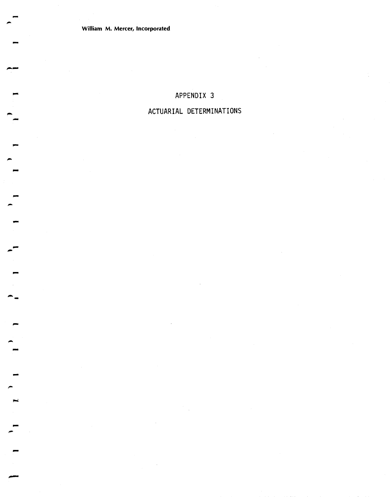**William M. Mercer, Incorporated** 

# **APPENDIX 3**

# **ACTUARIAL DETERMINATIONS**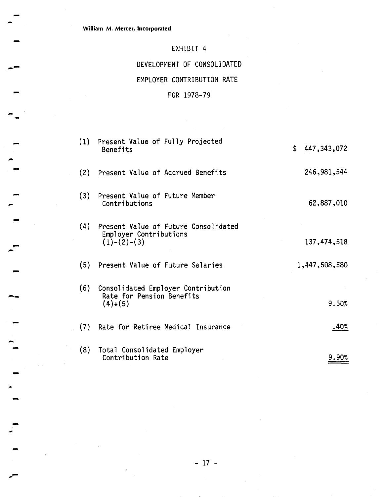# DEVELOPMENT OF CONSOLIDATED

### EMPLOYER CONTRIBUTION RATE

# FOR 1978-79

| (1) | Present Value of Fully Projected<br>Benefits                                      | \$<br>447,343,072 |
|-----|-----------------------------------------------------------------------------------|-------------------|
| (2) | Present Value of Accrued Benefits                                                 | 246,981,544       |
| (3) | Present Value of Future Member<br>Contributions                                   | 62,887,010        |
| (4) | Present Value of Future Consolidated<br>Employer Contributions<br>$(1)-(2)-(3)$   | 137,474,518       |
| (5) | Present Value of Future Salaries                                                  | 1,447,508,580     |
| (6) | Consolidated Employer Contribution<br>Rate for Pension Benefits<br>$(4) \div (5)$ | 9.50%             |
| (7) | Rate for Retiree Medical Insurance                                                | .40%              |
| (8) | Total Consolidated Employer<br>Contribution Rate                                  | 9.90%             |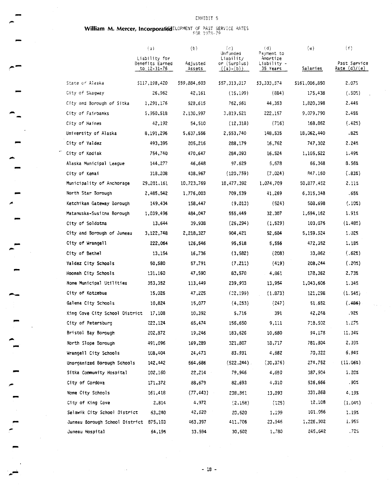# William M. Mercer, IncorporatedELOPMENT OF PAST SERVICE RATES

|                                        | $\{a\}$                                         | (b)                | (c)<br>Unfunded                          | (d)<br>Payment to                   | (e)           | (f)                          |
|----------------------------------------|-------------------------------------------------|--------------------|------------------------------------------|-------------------------------------|---------------|------------------------------|
|                                        | Liability for<br>Benefits Earned<br>to 12-31-76 | Adjusted<br>Assets | Liability<br>or (Surplus)<br>$((a)-(b))$ | Amortize<br>Liability –<br>35 Years | Salaries      | Past Service<br>Rate (d)/(e) |
| State of Alaska                        | \$117,198,420                                   | \$59,884,603       | \$57,313,317                             | \$3,333,574                         | \$161,006,850 | 2.07%                        |
| City of Skagway                        | 26,962                                          | 42,161             | (15, 199)                                | (884)                               | 175,438       | $(.50\%)$                    |
| City and Borough of Sitka              | 1,291,176                                       | 528,615            | 762,561                                  | 44,353                              | 1,820,398     | 2.44%                        |
| City of Fairbanks                      | 5,950,518                                       | 2,130,997          | 3,819,521                                | 222,157                             | 9,079,790     | 2.45%                        |
| City of Haines                         | 42,192                                          | 54,510             | (12, 318)                                | (716)                               | 168,862       | (.42%)                       |
| University of Alaska                   | 8,191,296                                       | 5,637,556          | 2,553,740                                | 148,535                             | 18,062,440    | .82%                         |
| City of Valdez                         | 493,395                                         | 205,216            | 288,179                                  | 16,762                              | 747,302       | 2.24%                        |
| City of Kodiak                         | 754,740                                         | 470,647            | 284,093                                  | 16,524                              | 1,105,522     | 1.49%                        |
| Alaska Municipal League                | 144,277                                         | 46,648             | 97.629                                   | 5,678                               | 66,348        | 8.56%                        |
| City of Kenai                          | 318,208                                         | 438,967            | (120, 759)                               | (7,024)                             | 847,160       | (.83%)                       |
| Municipality of Anchorage              | 29,201,161                                      | 10,723,769         | 18,477,392                               | 1,074,709                           | 50,877,452    | 2.11%                        |
| North Star Borough                     | 2,485,542                                       | 1,776,003          | 709,539                                  | 41,269                              | 6,315,348     | .65%                         |
| Ketchikan Gateway Borough              | 149,434                                         | 158,447            | (9,013)                                  | (524)                               | 508,698       | (.10%)                       |
| Matanuska-Susitna Borough              | 1,039,496                                       | 484,047            | 555,449                                  | 32,307                              | 1,694,162     | 1.91%                        |
| City of Soldotna                       | 13,644                                          | 39,938             | (26, 294)                                | (1, 529)                            | 103,076       | (1.48%)                      |
| City and Borough of Juneau             | 3,122,748                                       | 2,218,327          | 904,421                                  | 52,604                              | 5,159,524     | 1.025                        |
| City of Wrangell                       | 222,064                                         | 126,546            | 95,518                                   | 5,556                               | 472,352       | 1.18%                        |
| City of Bethel                         | 13,154                                          | 16,736             | (3, 582)                                 | (2C8)                               | 33,862        | (.622)                       |
| Valdez City Schools                    | 50,580                                          | 57,791             | (7, 211)                                 | (419)                               | 208,044       | (.20%)                       |
| Hoonah City Schools                    | 131,160                                         | 47,590             | 83,570                                   | 4,861                               | 178,362       | 2.73%                        |
| Nome Municipal Utilities               | 353,352                                         | 113,449            | 239,903                                  | 13,954                              | 1,043,606     | 1.34%                        |
| City of Kotzebue                       | 15,026                                          | 47,225.            | (22, 199)                                | (1, 873)                            | 121,298       | $(1.54\%)$                   |
| Galena City Schools                    | 10,824                                          | 15,077             | (4, 253)                                 | (247)                               | 51,652        | (.45%)                       |
| King Cove City School District         | 17,108                                          | 10,392             | 5,716                                    | 391                                 | 42,248        | .92%                         |
| City of Petersburg                     | 222,124                                         | 65,474             | 156,650                                  | 9,111                               | 718,502       | 1.27%                        |
| Bristol Bay Borough                    | 202,872                                         | 19,246             | 183,626                                  | 10,680                              | 94,178        | 11.34%                       |
| North Slope Borough                    | 491,096                                         | 169,289            | 321,807                                  | 18,717                              | 781,304       | 2.39%                        |
| Wrangell City Schools                  | 108,404                                         | 24,473             | 83.931                                   | 4,382                               | 70,322        | 6.94%                        |
| Unorganized Borough Schools            | 142,442                                         | 564,686            | (522.244)                                | (30, 376)                           | 274,752       | (11.061)                     |
| Sitka Community Hospital               | 102,160                                         | 22,214             | 79,946                                   | 4,650                               | 387,904       | 1.20%                        |
| City of Cordova                        | 171,372                                         | 88,679             | 82,693                                   | 4,310                               | 536,666       | .90%                         |
| Nome City Schools                      | 161,418                                         | (77, 443)          | 238,361                                  | 13,893                              | 331,868       | 4.19%                        |
| City of King Cove                      | 2,814                                           | 4,972              | (2,158)                                  | (125)                               | 12,108        | (1.04%)                      |
| Selawik City School District           | 63,240                                          | 42,520             | 20,620                                   | 1,199                               | 101.056       | 1.19%                        |
| Juneau Borough School District 875,103 |                                                 | 463,397            | 411,706                                  | 23,946                              | 1,226,902     | 1.95%                        |
| Juneau Hospital                        | 64,196                                          | 33,594             | 30,502                                   | 1,780                               | 245,642       | .72%                         |

 $-18 -$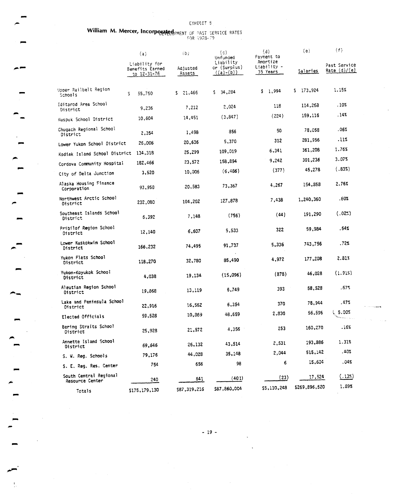# William M. Mercer, Incorporated PMENT OF PAST SERVICE RATES

 $\leftarrow$ 

|                                           | (a)                                             | (b)                | (c)<br>Unfunded                          | (d)<br>Payment to                   | (e)           | (f)                            |
|-------------------------------------------|-------------------------------------------------|--------------------|------------------------------------------|-------------------------------------|---------------|--------------------------------|
|                                           | Liability for<br>Benefits Earned<br>to 12-31-76 | Adjusted<br>Assets | Liability<br>or (Surplus)<br>$((a)-(b))$ | Amortize<br>Liability -<br>35 Years | Salaries      | Past Service<br>Rate $(d)/(e)$ |
| Upper Railbelt Region<br>Schools          | 55,750<br>\$                                    | \$21,466           | \$34,284                                 | \$1,994                             | $5$ 173,924   | 1.15%                          |
| Iditarod Area School<br>District          | 9,236                                           | 7,212              | 2,024                                    | 118                                 | 114,268       | .10%                           |
| Kuspuk School District                    | 10,604                                          | 14,451             | (3, 847)                                 | (224)                               | 159,116       | .14%                           |
| Chugach Regional School<br>District       | 2,354                                           | 1,498              | 856                                      | 50                                  | 78,058        | .06%                           |
| Lower Yukon School District               | 26,006                                          | 20,636             | 5,370                                    | 312                                 | 281,956       | .11%                           |
| Kodiak Island School District             | 134,318                                         | 25,299             | 109,019                                  | 6,341                               | 361,208       | 1.76%                          |
| Cordova Community Hospital                | 182,466                                         | 23,572             | 158,894                                  | 9,242                               | 301,236       | 3.07%                          |
| City of Delta Junction                    | 3,520                                           | 10,006             | (6, 486)                                 | (377)                               | 45,278        | (.83%)                         |
| Alaska Housing Finance<br>Corporation     | 93,950                                          | 20,583             | 73,367                                   | 4,267                               | 154,858       | 2.76%                          |
| Northwest Arctic School<br>District       | 232,080                                         | 104,202            | 127,878                                  | 7,438                               | 1,240,360     | .60%                           |
| Southeast Islands School<br>District      | 6,392                                           | 7,148              | (756)                                    | (44)                                | 191,290       | (.02%)                         |
| Pribilof Region School<br>District        | 12,140                                          | 6,607              | 5,533                                    | 322                                 | 59,984        | . 54%                          |
| Lower Kuskokwim School<br>District        | 166,232                                         | 74,495             | 91,737                                   | 5,336                               | 743,756       | .72%                           |
| Yukon Flats School<br>District            | 118,270                                         | 32,780             | 85,490                                   | 4,972                               | 177,208       | 2.813                          |
| Yukon-Koyukok School<br>District          | 4,038                                           | 19,134             | (15,096)                                 | (878)                               | 46,028        | (1.91%)                        |
| Aleutian Region School<br>District        | 19,868                                          | 13,119             | 6,749                                    | 393                                 | 58,528        | .67%                           |
| Lake and Peninsula School<br>District     | 22,916                                          | 16,562             | 6,354                                    | 370                                 | 78,944        | . 47%                          |
| Elected Officials                         | 59,528                                          | 10,369             | 48,659                                   | 2,830                               | 56,596        | 1, 5.00%                       |
| Bering Straits School<br>District         | 25,928                                          | 21,572             | 4,356                                    | 253                                 | 160,270       | .16%                           |
| Annette Island School<br>District         | 69,646                                          | 26,132             | 43,514                                   | 2,531                               | 193,886       | 1.31%                          |
| S. W. Reg. Schools                        | 79,176                                          | 44,028             | 35,148                                   | 2,044                               | 515,142       | .40%                           |
| S. E. Req. Res. Center                    | 754                                             | 656                | 98                                       | 6                                   | 15,604        | .04%                           |
| South Central Regional<br>Resource Center | 240                                             | 641                | (401)                                    | (23)                                | 17,524        | (.13%)                         |
| Totals                                    | \$175,179,130                                   | \$87,319,216       | \$87,860,004                             | \$5,110,248                         | \$269,896,520 | 1.89%                          |

 $-19-$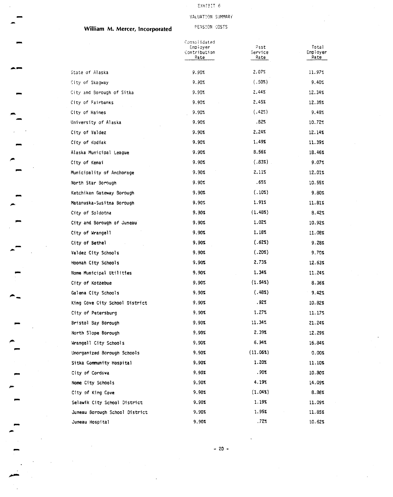### VALUATION SUMMARY

### **William M. Mercer, Incorporated**

PENSION COSTS

|                                | Consolidated<br>Empiover<br>Contribution<br>Rate | Past<br>Service:<br>Rate | Total<br>Employer<br>Rate |
|--------------------------------|--------------------------------------------------|--------------------------|---------------------------|
| State of Alaska                | 9.90%                                            | 2.07%                    | 11.97%                    |
| City of Skagway                | 9.90%                                            | (.50%)                   | 9.40%                     |
| City and Borough of Sitka      | 9.90%                                            | 2.44%                    | 12.34%                    |
| City of Fairbanks              | 9.90%                                            | 2.45%                    | 12.35%                    |
| City of Haines                 | 9.90%                                            | $(.42\%)$                | 9.48%                     |
| University of Alaska           | 9.90%                                            | .82%                     | 10.72%                    |
| City of Valdez                 | 9.90%                                            | 2.24%                    | 12.14%                    |
| City of Kodiak                 | 9.90%                                            | 1.49%                    | 11.39%                    |
| Alaska Municipal League        | 9.90%                                            | 8.56%                    | 18.46%                    |
| City of Kenai                  | 9.90%                                            | (.83%)                   | 9.07%                     |
| Municipality of Anchorage      | 9.90%                                            | 2.11%                    | 12.01%                    |
| North Star Borough             | 9.90%                                            | .65%                     | 10.55%                    |
| Ketchikan Gateway Borough      | 9.90%                                            | (.10%)                   | 9.80%                     |
| Matanuska-Susitna Borough      | 9.90%                                            | 1.91%                    | 11.81%                    |
| City of Soldotna               | 9.90%                                            | (1.48%)                  | 8.42%                     |
| City and Borough of Juneau     | 9.90%                                            | 1.02%                    | 10.92%                    |
| City of Wrangell               | 9.90%                                            | 1.18%                    | 11.08%                    |
| City of Bethel                 | 9.90%                                            | (.62%)                   | 9.28%                     |
| Valdez City Schools            | 9.90%                                            | (.202)                   | 9.70%                     |
| Hoonah City Schools            | 9.90%                                            | 2.73%                    | 12.63%                    |
| Nome Municipal Utilities       | 9.90%                                            | 1.34%                    | 11.24%                    |
| City of Kotzebue               | 9.90%                                            | (1.54%)                  | 8.36%                     |
| Galena City Schools            | 9.90%                                            | (.48%)                   | 9.42%                     |
| King Cove City School District | 9.90%                                            | .92%                     | 10.82%                    |
| City of Petersburg             | 9.90%                                            | 1.27%                    | 11.17%                    |
| Bristol Bay Borough            | 9.90%                                            | 11.34%                   | 21.24%                    |
| North Slope Borough            | 9.90%                                            | 2.39%                    | 12.29%                    |
| Wrangell City Schools          | 9.90x                                            | 6.94%                    | 16.84%                    |
| Unorganized Borough Schools    | 9.90%                                            | (11.06%)                 | 0.00%                     |
| Sitka Community Hospital       | 9.90%                                            | 1.20%                    | 11.10%                    |
| City of Cordova                | 9.90%                                            | .90%                     | 10.80%                    |
| Nome City Schools              | 9.90%                                            | 4.19%                    | 14.09%                    |
| City of King Cove              | 9.90%                                            | $(1.04\%)$               | 8.36%                     |
| Selawik City School District   | 9.90%                                            | 1.19%                    | 11.09%                    |
| Juneau Borough School District | 9.90%                                            | 1.95%                    | 11.85%                    |
| Juneau Hospital                | 9.90%                                            | .72%                     | 10.62%                    |

 $-20 -$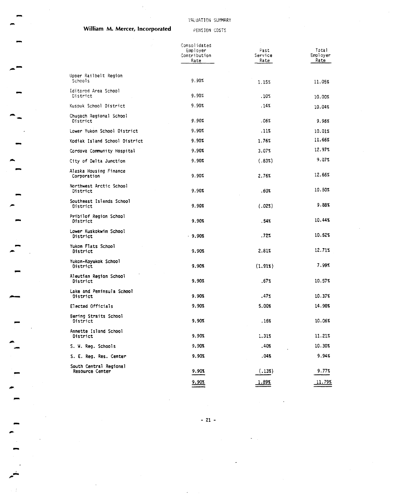#### VALUATION SUMMARY

### **William M. Mercer, Incorporated PENSION COSTS**

|                                           | Consolidated<br>Employer<br>Contribution<br>Rate | Past<br>Service<br>Rate | Total<br>Employer<br>Rate |
|-------------------------------------------|--------------------------------------------------|-------------------------|---------------------------|
| Upper Railbelt Region<br>Schools          | 9.90%                                            | 1.15%                   | 11.05%                    |
| Iditarod Area School<br>District          | 9.90%                                            | .10%                    | 10.00%                    |
| Kuspuk School District                    | 9.90%                                            | .14%                    | 10.04%                    |
| Chugach Regional School<br>District       | 9.90%                                            | .06%                    | 9.96%                     |
| Lower Yukon School District               | 9.90%                                            | .11%                    | 10.01%                    |
| Kodiak Island School District             | 9.90%                                            | 1.76%                   | 11.66%                    |
| Cordova Community Hospital                | 9.90%                                            | 3.07%                   | 12.97%                    |
| City of Delta Junction                    | 9.90%                                            | (.83%)                  | 9.07%                     |
| Alaska Housing Finance<br>Corporation     | 9.90%                                            | 2.76%                   | 12.66%                    |
| Northwest Arctic School<br>District       | 9.90%                                            | .60%                    | 10.50%                    |
| Southeast Islands School<br>District      | 9.90%                                            | (.02%)                  | 9.88%                     |
| Pribilof Region School<br>District        | 9.90%                                            | . 54%                   | 10.44%                    |
| Lower Kuskokwim School<br>District        | $-9.90%$                                         | .72%                    | 10.62%                    |
| Yukon Flats School<br>District            | 9.90%                                            | 2.81%                   | 12.71%                    |
| Yukon-Koyukok Schaol<br>District          | 9.90%                                            | (1.91x)                 | 7.99%                     |
| Aleutian Region School<br>District        | 9.90%                                            | .67%                    | 10.57%                    |
| Lake and Peninsula School<br>District     | 9.90%                                            | .47%                    | 10.37%                    |
| Elected Officials                         | 9.90%                                            | 5.00%                   | 14.90%                    |
| Bering Straits School<br>District         | 9.90%                                            | . 16%                   | 10.06%                    |
| Annette Island School<br>District         | 9.90%                                            | 1.31%                   | 11.21%                    |
| S. W. Reg. Schools                        | 9.90%                                            | . 40%                   | 10.30%                    |
| S. E. Reg. Res. Center                    | 9.90%                                            | .04%                    | 9.94%                     |
| South Central Regional<br>Resource Center | 9.90%                                            | (.13%)                  | 9.77%                     |
|                                           | 9.90%                                            | 1.89%                   | 11.79%                    |

 $-21-$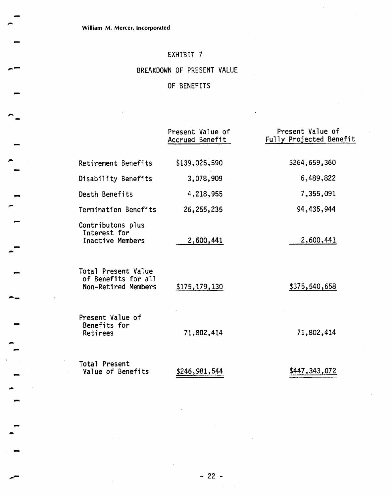BREAKDOWN OF PRESENT VALUE

# OF BENEFITS

|                                                                   | Present Value of<br>Accrued Benefit | Present Value of<br>Fully Projected Benefit |
|-------------------------------------------------------------------|-------------------------------------|---------------------------------------------|
| Retirement Benefits                                               | \$139,025,590                       | \$264,659,360                               |
| Disability Benefits                                               | 3,078,909                           | 6,489,822                                   |
| Death Benefits                                                    | 4,218,955                           | 7,355,091                                   |
| Termination Benefits                                              | 26, 255, 235                        | 94,435,944                                  |
| Contributons plus<br>Interest for<br>Inactive Members             | 2,600,441                           | 2,600,441                                   |
| Total Present Value<br>of Benefits for all<br>Non-Retired Members | \$175,179,130                       | \$375,540,658                               |
| Present Value of<br>Benefits for<br>Retirees                      | 71,802,414                          | 71,802,414                                  |
| Total Present<br>Value of Benefits                                | \$246,981,544                       | \$447,343,072                               |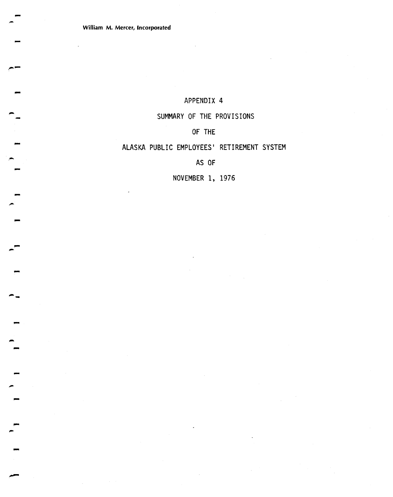**William M. Mercer, Incorporated** 

### APPENDIX 4

### SUMMARY OF THE PROVISIONS

# OF THE

### ALASKA PUBLIC EMPLOYEES' RETIREMENT SYSTEM

AS OF

NOVEMBER 1, 1976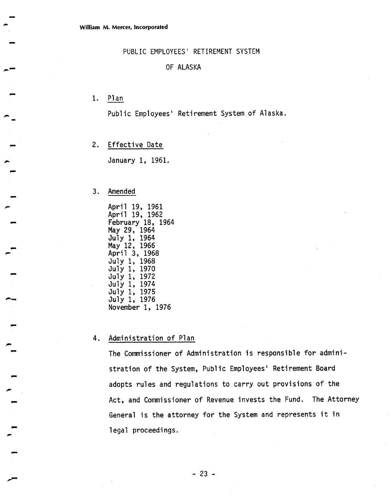PUBLIC EMPLOYEES' RETIREMENT SYSTEM

### OF ALASKA

**1.** Plan

Public Employees' Retirement System of Alaska.

**2.** Effective Date

January **1, 1961.** 

### 3. Amended

 $\blacksquare$ 

April **19, 1961**  April **19, 1962**  February **18, 1964**  May **29, 1964**  July **1, 1964**  May **12, 1966**  April **3, 1968**  July **1, 1968**  July **1, 1970**  July **1, 1972**  Jgly **1, 1974**  July **1, 1975**  July **1, 1976**  November **1, 1976** 

### **4.** Administration of Plan

The Commissioner of Administration is responsible for administration of the System, Public Employees' Retirement Board adopts rules and regulations to carry out provisions of the Act, and Commissioner of Revenue invests the Fund. The Attorney General is the attorney for the System and represents it in legal proceedings.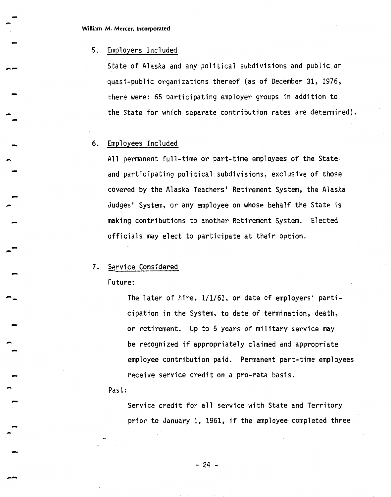**William M. Mercer, Incorporated** 

#### 5. Employers Included

State of Alaska and any political subdivisions and public or quasi -pub1 ic organi zations thereof (as of December 31, **1976,**  there were: 65 participating employer groups in addition to the State for which separate contribution rates are determined).

#### 6. Employees Included

All permanent full-time or part-time employees of the State and participating political subdivisions, exclusive of those covered by the Alaska Teachers' Retirement System, the Alaska Judges' System, or any employee on whose behalf the State is making contributions to another Retirement System. Elected officials may elect to participate at their option.

### 7. Service Considered

Future:

The later of hire, 1/1/61, or date of employers' participation in the System, to date of termination, death, or retirement. Up to 5 years of military service may be recognized if appropriately claimed and appropriate employee contribution paid. Permanent part-time employees receive service credit on a pro-rata basis.

Past:

Service credit for all service with State and Territory prior to January 1, 1961, if the employee completed three

 $-24$  -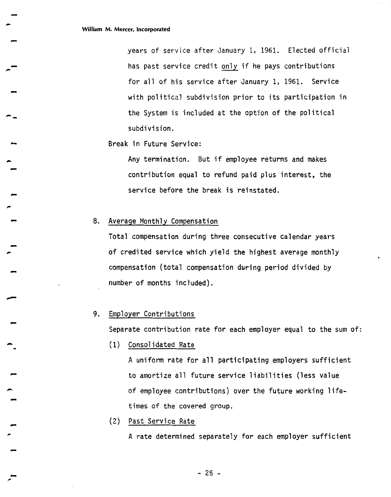years of service after January 1, 1961. Elected official has past service credit only if he pays contributions for all of his service after January 1, 1961. Service with political subdivision prior to its participation in the System is included at the option of the political subdivision.

Break in Future Service:

Any termination. But if employee returns and makes contribution equal to refund paid plus interest, the service before the break is reinstated.

8. Average Monthly Compensation

Total compensation during three consecutive calendar years of credited service which yield the highest average monthly compensation (total compensation during period divided by number of months included).

### 9. Employer Contributions

Separate contribution rate for each employer equal to the sum of:

(1) Consol idated Rate

A uniform rate for all participating employers sufficient to amortize all future service liabilities (less value of employee contributions) over the future working lifetimes of the covered group.

(2) Past Service Rate

A rate determined separately for each employer sufficient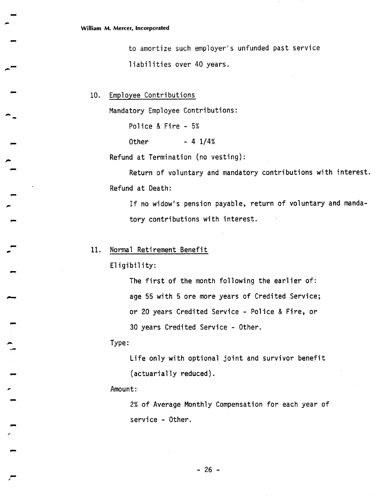to amortize such employer's unfunded past service liabilities over 40 years.

10. Employee Contributions

Mandatory Employee Contributions:

Police & Fire - 5%

Other  $- 4 \frac{1}{4}$ 

Refund at Termination (no vesting):

Return of voluntary and mandatory contributions with interest. Refund at Death:

If no widow's pension payable, return of voluntary and mandatory contributions with interest.

### 11. Normal Retirement Benefit

Eligibility:

The first of the month following the earlier of: age 55 with 5 ore more years of Credited Service; or 20 years Credited Service - Police & Fire, or 30 years Credited Service - Other.

Type :

Life only with optional joint and survivor benefit (actuarially reduced).

Amount:

2% of Average Monthly Compensation for each year of service - Other.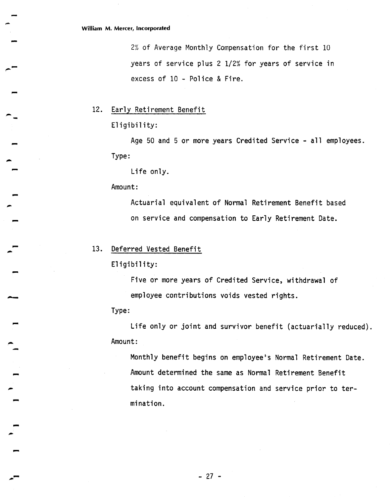**22** of' Average Monthly Compensation for the first 10 years of service plus 2 1/2% for years of service in excess of 10 - Police & Fire.

12. Early Retirement Benefit

Eligibility:

Age 50 and 5 or more years Credited Service - all employees. Type :

Life only.

Amount:

Actuarial equivalent of Normal Retirement Benefit based on service and compensation to Early Retirement Date.

### **13.** Deferred Vested Benefit

Eligibility:

Five or more years of Credited Service, withdrawal of employee contributions voids vested rights.

Type :

Life only or joint and survivor benefit (actuarially reduced). Amount:

Monthly benefit begins on employee's Norma1 Retirement Date. Amount determined the same as Normal Retirement Benefit taking into account compensation and service prior to termination.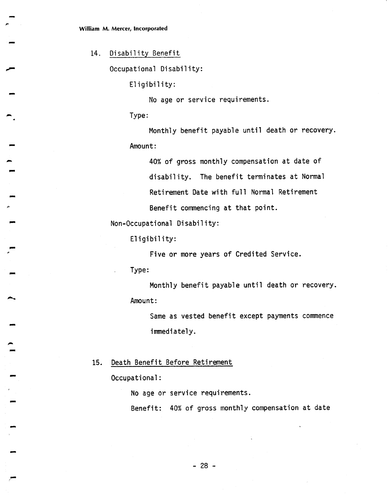14. Disability Benefit

Occupational Disability:

Eligibility:

No age or service requirements.

Type :

Monthly benefit payable until death or recovery. Amount :

40% of gross monthly compensation at date of disability. The benefit terminates at Normal Retirement Date with full Normal Retirement Benefit commencing at that point.

Non-Occupational Disability:

Eligibility:

Five or more years of Credited Service.

. Type:

Monthly benefit payable until death or recovery. Amount:

Same as vested benefit except payments commence immediately.

15. Death Benefit Before Retirement

Occupational :

No age or service requirements.

Benefit: 40% of gross monthly compensation at date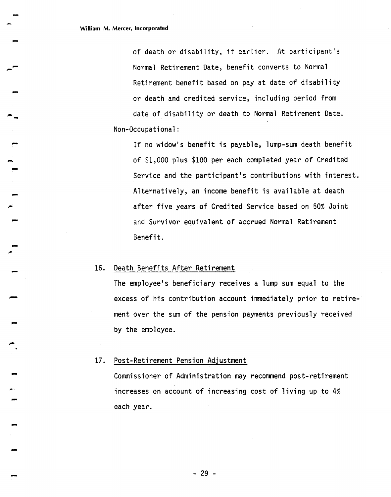Non-Occupational of death or disability, if earlier. At participant's Normal Retirement Date, benefit converts to Normal Retirement benefit based on pay at date of disability or death and credited service, including period from date of disability or death to Normal Retirement Date.

If no widow's benefit is payable, lump-sum death benefit of \$1,000 plus \$100 per each completed year of Credited Service and the participant's contributions with interest. Alternatively, an income benefit is available at death after five years of Credited Service based on 50% Joint and Survivor equivalent of accrued Normal Retirement Benefit.

#### 16. Death Benefits After Retirement

The employee's beneficiary receives a lump sum equal to the excess of his contribution account immediately prior to retirement over the sum of the pension payments previously received by the employee.

#### $17.$ Post-Retirement Pension Adjustment

Commissioner of Administration may recommend post-retirement increases on account of increasing cost of living up to 4% each year.